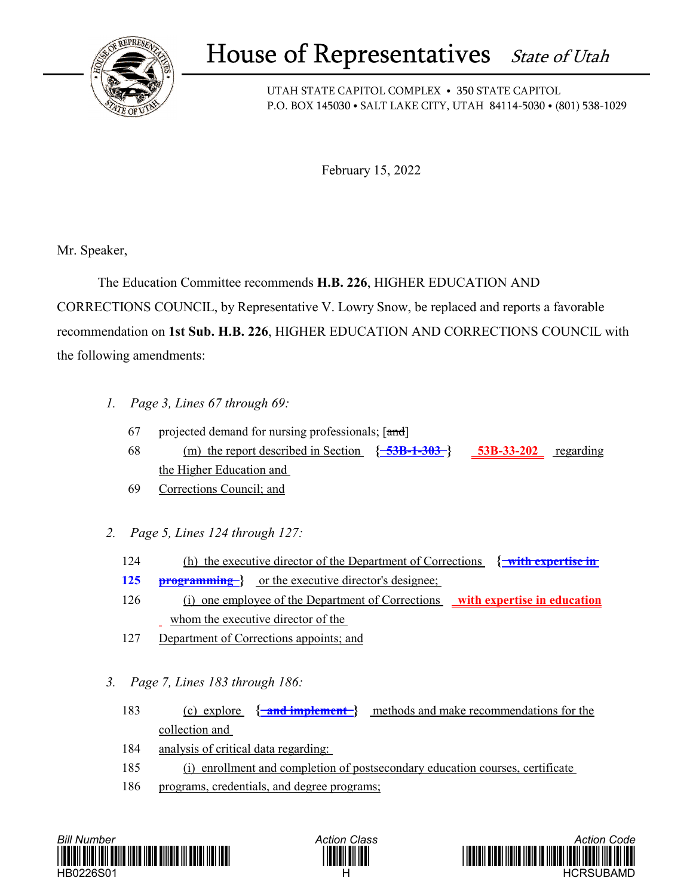

## House of Representatives State of Utah

UTAH STATE CAPITOL COMPLEX • 350 STATE CAPITOL P.O. BOX 145030 • SALT LAKE CITY, UTAH 84114-5030 • (801) 538-1029

February 15, 2022

Mr. Speaker,

 The Education Committee recommends **H.B. 226**, HIGHER EDUCATION AND CORRECTIONS COUNCIL, by Representative V. Lowry Snow, be replaced and reports a favorable recommendation on **1st Sub. H.B. 226**, HIGHER EDUCATION AND CORRECTIONS COUNCIL with the following amendments:

- *1. Page 3, Lines 67 through 69:*
	- 67 projected demand for nursing professionals;  $[\text{and}]$
	- 68 (m) the report described in Section **{ 53B-1-303 } 53B-33-202** regarding the Higher Education and
	- 69 Corrections Council; and
- *2. Page 5, Lines 124 through 127:*
	- 124 (h) the executive director of the Department of Corrections **{ with expertise in**
	- 125 **programming** or the executive director's designee;
	- 126 (i) one employee of the Department of Corrections **with expertise in education** whom the executive director of the
	- 127 Department of Corrections appoints; and
- *3. Page 7, Lines 183 through 186:*
	- 183 (c) explore **{ and implement }** methods and make recommendations for the collection and
	- 184 analysis of critical data regarding:
	- 185 (i) enrollment and completion of postsecondary education courses, certificate
	- 186 programs, credentials, and degree programs;